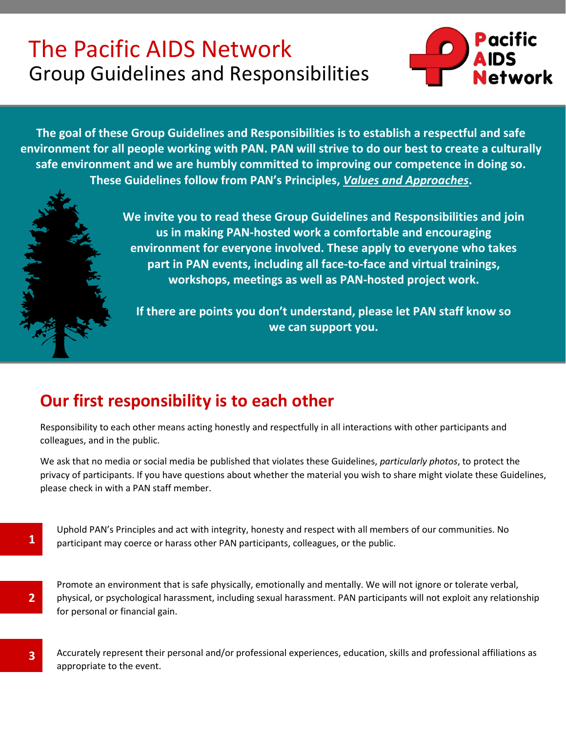# Group Guidelines and Responsibilities The Pacific AIDS Network



**The goal of these Group Guidelines and Responsibilities is to establish a respectful and safe environment for all people working with PAN. PAN will strive to do our best to create a culturally safe environment and we are humbly committed to improving our competence in doing so. These Guidelines follow from PAN's Principles,** *[Values and Approaches](https://pacificaidsnetwork.org/about/strategic-directions-values-and-approaches/)***.**

> **We invite you to read these Group Guidelines and Responsibilities and join us in making PAN-hosted work a comfortable and encouraging environment for everyone involved. These apply to everyone who takes part in PAN events, including all face-to-face and virtual trainings, workshops, meetings as well as PAN-hosted project work.**

**If there are points you don't understand, please let PAN staff know so we can support you.**

## **Our first responsibility is to each other**

**1**

**2**

**3**

Responsibility to each other means acting honestly and respectfully in all interactions with other participants and colleagues, and in the public.

We ask that no media or social media be published that violates these Guidelines, *particularly photos*, to protect the privacy of participants. If you have questions about whether the material you wish to share might violate these Guidelines, please check in with a PAN staff member.

Uphold PAN's Principles and act with integrity, honesty and respect with all members of our communities. No participant may coerce or harass other PAN participants, colleagues, or the public.

Promote an environment that is safe physically, emotionally and mentally. We will not ignore or tolerate verbal, physical, or psychological harassment, including sexual harassment. PAN participants will not exploit any relationship for personal or financial gain.

Accurately represent their personal and/or professional experiences, education, skills and professional affiliations as appropriate to the event.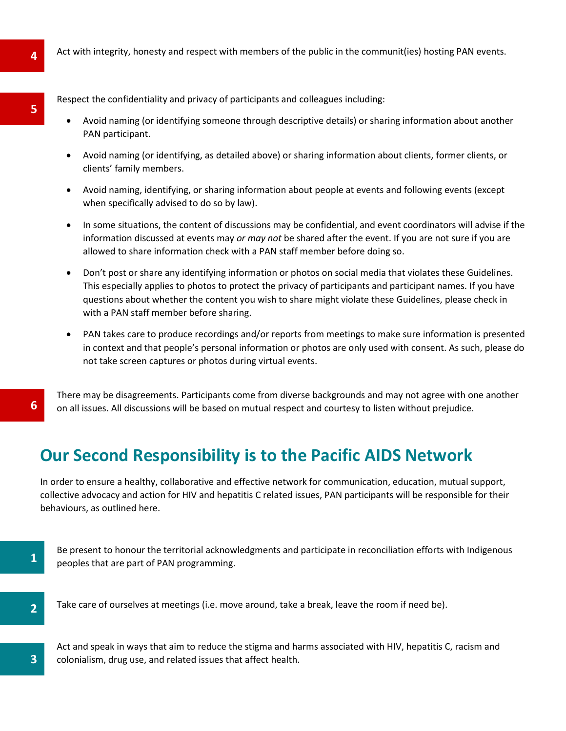Respect the confidentiality and privacy of participants and colleagues including:

- Avoid naming (or identifying someone through descriptive details) or sharing information about another PAN participant.
- Avoid naming (or identifying, as detailed above) or sharing information about clients, former clients, or clients' family members.
- Avoid naming, identifying, or sharing information about people at events and following events (except when specifically advised to do so by law).
- In some situations, the content of discussions may be confidential, and event coordinators will advise if the information discussed at events may *or may not* be shared after the event. If you are not sure if you are allowed to share information check with a PAN staff member before doing so.
- Don't post or share any identifying information or photos on social media that violates these Guidelines. This especially applies to photos to protect the privacy of participants and participant names. If you have questions about whether the content you wish to share might violate these Guidelines, please check in with a PAN staff member before sharing.
- PAN takes care to produce recordings and/or reports from meetings to make sure information is presented in context and that people's personal information or photos are only used with consent. As such, please do not take screen captures or photos during virtual events.

There may be disagreements. Participants come from diverse backgrounds and may not agree with one another on all issues. All discussions will be based on mutual respect and courtesy to listen without prejudice.

### **Our Second Responsibility is to the Pacific AIDS Network**

In order to ensure a healthy, collaborative and effective network for communication, education, mutual support, collective advocacy and action for HIV and hepatitis C related issues, PAN participants will be responsible for their behaviours, as outlined here.

Be present to honour the territorial acknowledgments and participate in reconciliation efforts with Indigenous peoples that are part of PAN programming.

**3**

**1**

**6**

Take care of ourselves at meetings (i.e. move around, take a break, leave the room if need be).

Act and speak in ways that aim to reduce the stigma and harms associated with HIV, hepatitis C, racism and colonialism, drug use, and related issues that affect health.

**5**